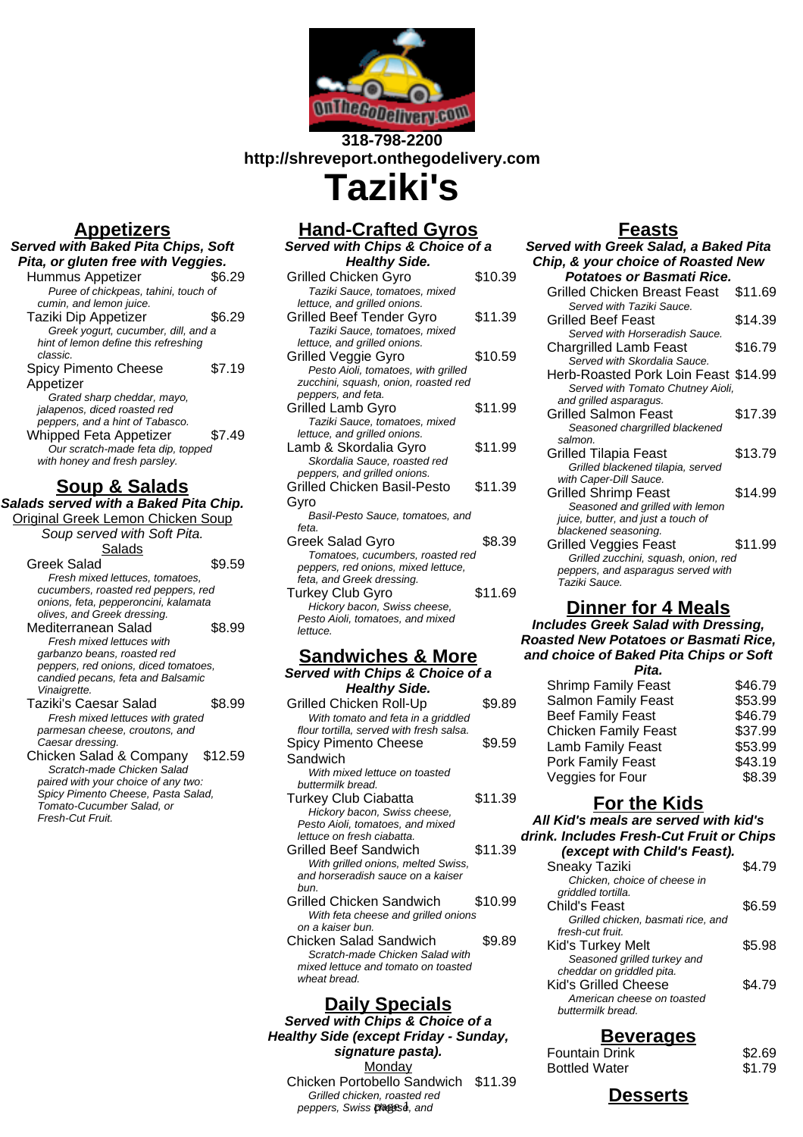

## **318-798-2200 http://shreveport.onthegodelivery.com Taziki's**

# **Appetizers**

| P∨⊑∨.                                                                                               |        |
|-----------------------------------------------------------------------------------------------------|--------|
| <b>Served with Baked Pita Chips, Soft</b>                                                           |        |
| Pita, or gluten free with Veggies.                                                                  |        |
| Hummus Appetizer                                                                                    | \$6.29 |
| Puree of chickpeas, tahini, touch of                                                                |        |
| cumin, and lemon juice.                                                                             |        |
| Taziki Dip Appetizer                                                                                | \$6.29 |
| Greek yogurt, cucumber, dill, and a                                                                 |        |
| hint of lemon define this refreshing<br>classic.                                                    |        |
| <b>Spicy Pimento Cheese</b>                                                                         | \$7.19 |
| Appetizer                                                                                           |        |
| Grated sharp cheddar, mayo,<br>jalapenos, diced roasted red<br>peppers, and a hint of Tabasco.      |        |
| <b>Whipped Feta Appetizer</b><br>Our scratch-made feta dip, topped<br>with honey and fresh parsley. | \$7.49 |

## **Soup & Salads**

**Salads served with a Baked Pita Chip.**

| <u> Original Greek Lemon Chicken Soup</u>     |         |
|-----------------------------------------------|---------|
| Soup served with Soft Pita.                   |         |
| Salads                                        |         |
| Greek Salad                                   | \$9.59  |
| Fresh mixed lettuces, tomatoes,               |         |
| cucumbers, roasted red peppers, red           |         |
| onions, feta, pepperoncini, kalamata          |         |
| olives, and Greek dressing.                   |         |
| Mediterranean Salad                           | \$8.99  |
| Fresh mixed lettuces with                     |         |
| garbanzo beans, roasted red                   |         |
| peppers, red onions, diced tomatoes,          |         |
| candied pecans, feta and Balsamic             |         |
| Vinaigrette.                                  |         |
| Taziki's Caesar Salad                         | \$8.99  |
| Fresh mixed lettuces with grated              |         |
| parmesan cheese, croutons, and                |         |
| Caesar dressing.                              |         |
| Chicken Salad & Company                       | \$12.59 |
| Scratch-made Chicken Salad                    |         |
| paired with your choice of any two:           |         |
| Spicy Pimento Cheese, Pasta Salad,            |         |
| Tomato-Cucumber Salad, or<br>Fresh-Cut Fruit. |         |
|                                               |         |
|                                               |         |

# **Hand-Crafted Gyros**

| Served with Chips & Choice of a                              |         |
|--------------------------------------------------------------|---------|
| <b>Healthy Side.</b>                                         |         |
| Grilled Chicken Gyro                                         | \$10.39 |
| Taziki Sauce, tomatoes, mixed                                |         |
| lettuce, and grilled onions.                                 |         |
| Grilled Beef Tender Gyro                                     | \$11.39 |
| Taziki Sauce, tomatoes, mixed                                |         |
| lettuce, and grilled onions.                                 |         |
| Grilled Veggie Gyro                                          | \$10.59 |
| Pesto Aioli, tomatoes, with grilled                          |         |
| zucchini, squash, onion, roasted red                         |         |
| peppers, and feta.                                           |         |
| <b>Grilled Lamb Gyro</b>                                     | \$11.99 |
| Taziki Sauce, tomatoes, mixed                                |         |
| lettuce, and grilled onions.                                 |         |
| Lamb & Skordalia Gyro                                        | \$11.99 |
| Skordalia Sauce, roasted red<br>peppers, and grilled onions. |         |
| Grilled Chicken Basil-Pesto                                  | \$11.39 |
|                                                              |         |
| Gyro                                                         |         |
| Basil-Pesto Sauce, tomatoes, and<br>feta.                    |         |
|                                                              | \$8.39  |
| Greek Salad Gyro<br>Tomatoes, cucumbers, roasted red         |         |
| peppers, red onions, mixed lettuce,                          |         |
| feta, and Greek dressing.                                    |         |
| Turkey Club Gyro                                             | \$11.69 |
| Hickory bacon, Swiss cheese,                                 |         |
| Pesto Aioli, tomatoes, and mixed                             |         |
| lettuce.                                                     |         |
|                                                              |         |

# **Sandwiches & More**

| <b>SAIRWIGHTS &amp; MOLE</b>             |         |
|------------------------------------------|---------|
| Served with Chips & Choice of a          |         |
| <b>Healthy Side.</b>                     |         |
| Grilled Chicken Roll-Up                  | \$9.89  |
| With tomato and feta in a griddled       |         |
| flour tortilla, served with fresh salsa. |         |
| Spicy Pimento Cheese                     | \$9.59  |
| Sandwich                                 |         |
| With mixed lettuce on toasted            |         |
| buttermilk bread.                        |         |
| <b>Turkey Club Ciabatta</b>              | \$11.39 |
| Hickory bacon, Swiss cheese,             |         |
| Pesto Aioli, tomatoes, and mixed         |         |
| lettuce on fresh ciabatta.               |         |
| Grilled Beef Sandwich                    | \$11.39 |
| With grilled onions, melted Swiss,       |         |
| and horseradish sauce on a kaiser        |         |
| hun.                                     |         |
| Grilled Chicken Sandwich                 | \$10.99 |
| With feta cheese and grilled onions      |         |
| on a kaiser bun.                         |         |
| <b>Chicken Salad Sandwich</b>            | \$9.89  |
| Scratch-made Chicken Salad with          |         |
| mixed lettuce and tomato on toasted      |         |

**Daily Specials Served with Chips & Choice of a Healthy Side (except Friday - Sunday, signature pasta). Monday** Chicken Portobello Sandwich \$11.39

Grilled chicken, roasted red peppers, Swiss pheese, and

wheat bread.

### **Feasts**

| Served with Greek Salad, a Baked Pita                                      |         |
|----------------------------------------------------------------------------|---------|
| Chip, & your choice of Roasted New                                         |         |
| Potatoes or Basmati Rice.                                                  |         |
| Grilled Chicken Breast Feast                                               | \$11.69 |
| Served with Taziki Sauce.                                                  |         |
| <b>Grilled Beef Feast</b>                                                  | \$14.39 |
| Served with Horseradish Sauce.                                             |         |
| <b>Chargrilled Lamb Feast</b>                                              | \$16.79 |
| Served with Skordalia Sauce.                                               |         |
| Herb-Roasted Pork Loin Feast \$14.99                                       |         |
| Served with Tomato Chutney Aioli,<br>and grilled asparagus.                |         |
| <b>Grilled Salmon Feast</b>                                                | \$17.39 |
| Seasoned chargrilled blackened                                             |         |
| salmon.                                                                    |         |
| <b>Grilled Tilapia Feast</b>                                               | \$13.79 |
| Grilled blackened tilapia, served                                          |         |
| with Caper-Dill Sauce.                                                     |         |
| <b>Grilled Shrimp Feast</b>                                                | \$14.99 |
| Seasoned and grilled with lemon                                            |         |
| juice, butter, and just a touch of                                         |         |
| blackened seasoning.                                                       |         |
| Grilled Veggies Feast                                                      | \$11.99 |
| Grilled zucchini, squash, onion, red<br>peppers, and asparagus served with |         |
| Taziki Sauce.                                                              |         |
|                                                                            |         |

### **Dinner for 4 Meals**

**Includes Greek Salad with Dressing, Roasted New Potatoes or Basmati Rice, and choice of Baked Pita Chips or Soft**

| Pita.                       |         |
|-----------------------------|---------|
| <b>Shrimp Family Feast</b>  | \$46.79 |
| Salmon Family Feast         | \$53.99 |
| <b>Beef Family Feast</b>    | \$46.79 |
| <b>Chicken Family Feast</b> | \$37.99 |
| Lamb Family Feast           | \$53.99 |
| Pork Family Feast           | \$43.19 |
| Veggies for Four            | \$8.39  |
|                             |         |

### **For the Kids**

**All Kid's meals are served with kid's drink. Includes Fresh-Cut Fruit or Chips**

| (except with Child's Feast).       |        |
|------------------------------------|--------|
| <b>Sneaky Taziki</b>               | \$4.79 |
| Chicken, choice of cheese in       |        |
| griddled tortilla.                 |        |
| Child's Feast                      | \$6.59 |
| Grilled chicken, basmati rice, and |        |
| fresh-cut fruit.                   |        |
| Kid's Turkey Melt                  | \$5.98 |
| Seasoned grilled turkey and        |        |
| cheddar on griddled pita.          |        |
| Kid's Grilled Cheese               | S4 79  |
| American cheese on toasted         |        |
| buttermilk bread.                  |        |
|                                    |        |

### **Beverages**

| Fountain Drink       | \$2.69 |
|----------------------|--------|
| <b>Bottled Water</b> | \$1.79 |

**Desserts**